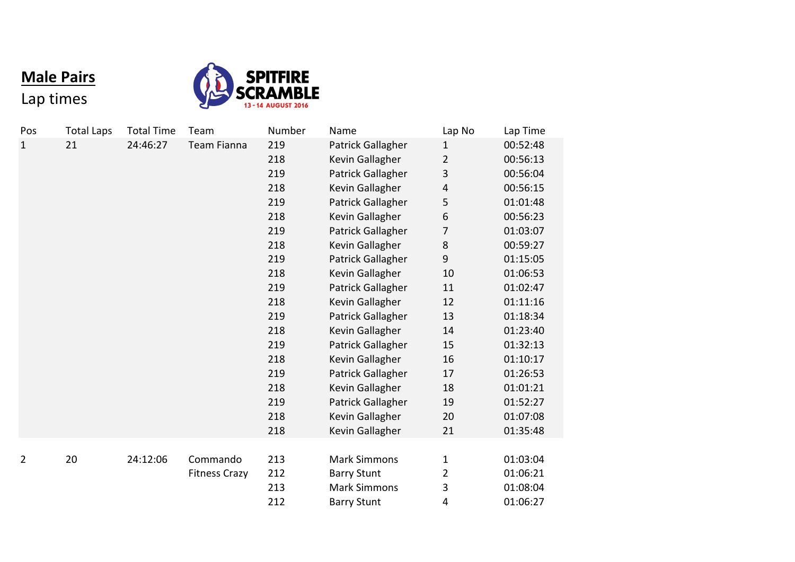## **Male Pairs**

Lap times



| Pos          | <b>Total Laps</b> | <b>Total Time</b> | Team                 | Number | Name                | Lap No         | Lap Time |
|--------------|-------------------|-------------------|----------------------|--------|---------------------|----------------|----------|
| $\mathbf{1}$ | 21                | 24:46:27          | <b>Team Fianna</b>   | 219    | Patrick Gallagher   | 1              | 00:52:48 |
|              |                   |                   |                      | 218    | Kevin Gallagher     | $\overline{2}$ | 00:56:13 |
|              |                   |                   |                      | 219    | Patrick Gallagher   | 3              | 00:56:04 |
|              |                   |                   |                      | 218    | Kevin Gallagher     | 4              | 00:56:15 |
|              |                   |                   |                      | 219    | Patrick Gallagher   | 5              | 01:01:48 |
|              |                   |                   |                      | 218    | Kevin Gallagher     | 6              | 00:56:23 |
|              |                   |                   |                      | 219    | Patrick Gallagher   | 7              | 01:03:07 |
|              |                   |                   |                      | 218    | Kevin Gallagher     | 8              | 00:59:27 |
|              |                   |                   |                      | 219    | Patrick Gallagher   | 9              | 01:15:05 |
|              |                   |                   |                      | 218    | Kevin Gallagher     | 10             | 01:06:53 |
|              |                   |                   |                      | 219    | Patrick Gallagher   | 11             | 01:02:47 |
|              |                   |                   |                      | 218    | Kevin Gallagher     | 12             | 01:11:16 |
|              |                   |                   |                      | 219    | Patrick Gallagher   | 13             | 01:18:34 |
|              |                   |                   |                      | 218    | Kevin Gallagher     | 14             | 01:23:40 |
|              |                   |                   |                      | 219    | Patrick Gallagher   | 15             | 01:32:13 |
|              |                   |                   |                      | 218    | Kevin Gallagher     | 16             | 01:10:17 |
|              |                   |                   |                      | 219    | Patrick Gallagher   | 17             | 01:26:53 |
|              |                   |                   |                      | 218    | Kevin Gallagher     | 18             | 01:01:21 |
|              |                   |                   |                      | 219    | Patrick Gallagher   | 19             | 01:52:27 |
|              |                   |                   |                      | 218    | Kevin Gallagher     | 20             | 01:07:08 |
|              |                   |                   |                      | 218    | Kevin Gallagher     | 21             | 01:35:48 |
|              |                   |                   |                      |        |                     |                |          |
| 2            | 20                | 24:12:06          | Commando             | 213    | <b>Mark Simmons</b> | 1              | 01:03:04 |
|              |                   |                   | <b>Fitness Crazy</b> | 212    | <b>Barry Stunt</b>  | 2              | 01:06:21 |
|              |                   |                   |                      | 213    | <b>Mark Simmons</b> | 3              | 01:08:04 |
|              |                   |                   |                      | 212    | <b>Barry Stunt</b>  | 4              | 01:06:27 |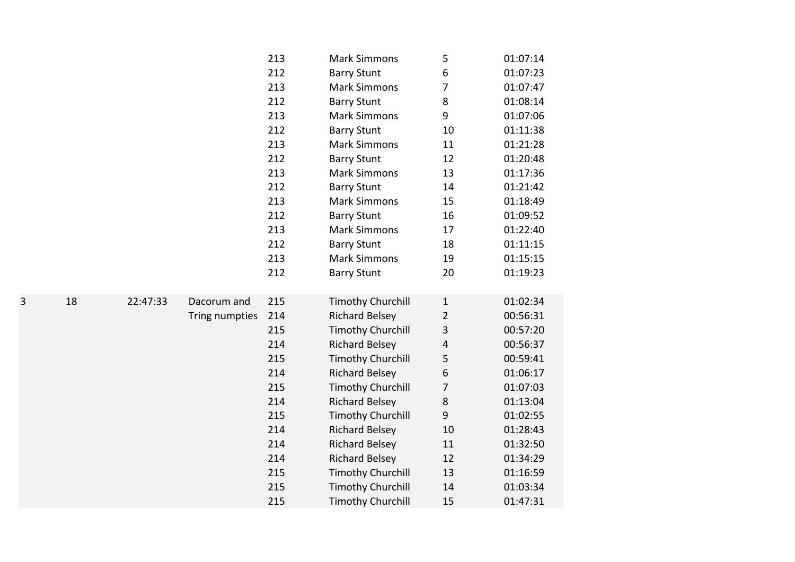|   |    |          |                                                                                                                      | 213 | <b>Mark Simmons</b>      | 5              | 01:07:14 |
|---|----|----------|----------------------------------------------------------------------------------------------------------------------|-----|--------------------------|----------------|----------|
|   |    |          |                                                                                                                      | 212 | <b>Barry Stunt</b>       | 6              | 01:07:23 |
|   |    |          |                                                                                                                      | 213 | <b>Mark Simmons</b>      | 7              | 01:07:47 |
|   |    |          |                                                                                                                      | 212 | <b>Barry Stunt</b>       | 8              | 01:08:14 |
|   |    |          |                                                                                                                      | 213 | <b>Mark Simmons</b>      | 9              | 01:07:06 |
|   |    |          |                                                                                                                      | 212 | <b>Barry Stunt</b>       | 10             | 01:11:38 |
|   |    |          |                                                                                                                      | 213 | <b>Mark Simmons</b>      | 11             | 01:21:28 |
|   |    |          |                                                                                                                      | 212 | <b>Barry Stunt</b>       | 12             | 01:20:48 |
|   |    |          |                                                                                                                      | 213 | <b>Mark Simmons</b>      | 13             | 01:17:36 |
|   |    |          |                                                                                                                      | 212 | <b>Barry Stunt</b>       | 14             | 01:21:42 |
|   |    |          |                                                                                                                      | 213 | <b>Mark Simmons</b>      | 15             | 01:18:49 |
|   |    |          |                                                                                                                      | 212 | <b>Barry Stunt</b>       | 16             | 01:09:52 |
|   |    |          |                                                                                                                      | 213 | <b>Mark Simmons</b>      | 17             | 01:22:40 |
|   |    |          |                                                                                                                      | 212 | <b>Barry Stunt</b>       | 18             | 01:11:15 |
|   |    |          |                                                                                                                      | 213 | <b>Mark Simmons</b>      | 19             | 01:15:15 |
|   |    |          |                                                                                                                      | 212 | <b>Barry Stunt</b>       | 20             | 01:19:23 |
|   |    |          |                                                                                                                      |     |                          |                |          |
| 3 | 18 | 22:47:33 | Dacorum and                                                                                                          | 215 | <b>Timothy Churchill</b> | $\mathbf{1}$   | 01:02:34 |
|   |    |          | Tring numpties<br><b>Timothy Churchill</b><br>215<br>214<br><b>Richard Belsey</b><br>215<br><b>Timothy Churchill</b> | 214 | <b>Richard Belsey</b>    | $\overline{2}$ | 00:56:31 |
|   |    |          |                                                                                                                      |     |                          | 3              | 00:57:20 |
|   |    |          |                                                                                                                      |     |                          | $\overline{4}$ | 00:56:37 |
|   |    |          |                                                                                                                      |     | 5                        | 00:59:41       |          |
|   |    |          |                                                                                                                      | 214 | <b>Richard Belsey</b>    | 6              | 01:06:17 |
|   |    |          |                                                                                                                      | 215 | <b>Timothy Churchill</b> | 7              | 01:07:03 |
|   |    |          |                                                                                                                      | 214 | <b>Richard Belsey</b>    | 8              | 01:13:04 |
|   |    |          |                                                                                                                      | 215 | <b>Timothy Churchill</b> | 9              | 01:02:55 |
|   |    |          |                                                                                                                      | 214 | <b>Richard Belsey</b>    | 10             | 01:28:43 |
|   |    |          |                                                                                                                      | 214 | <b>Richard Belsey</b>    | 11             | 01:32:50 |
|   |    |          |                                                                                                                      | 214 | <b>Richard Belsey</b>    | 12             | 01:34:29 |
|   |    |          |                                                                                                                      | 215 | <b>Timothy Churchill</b> | 13             | 01:16:59 |
|   |    |          |                                                                                                                      | 215 | <b>Timothy Churchill</b> | 14             | 01:03:34 |
|   |    |          |                                                                                                                      | 215 | <b>Timothy Churchill</b> | 15             | 01:47:31 |
|   |    |          |                                                                                                                      |     |                          |                |          |